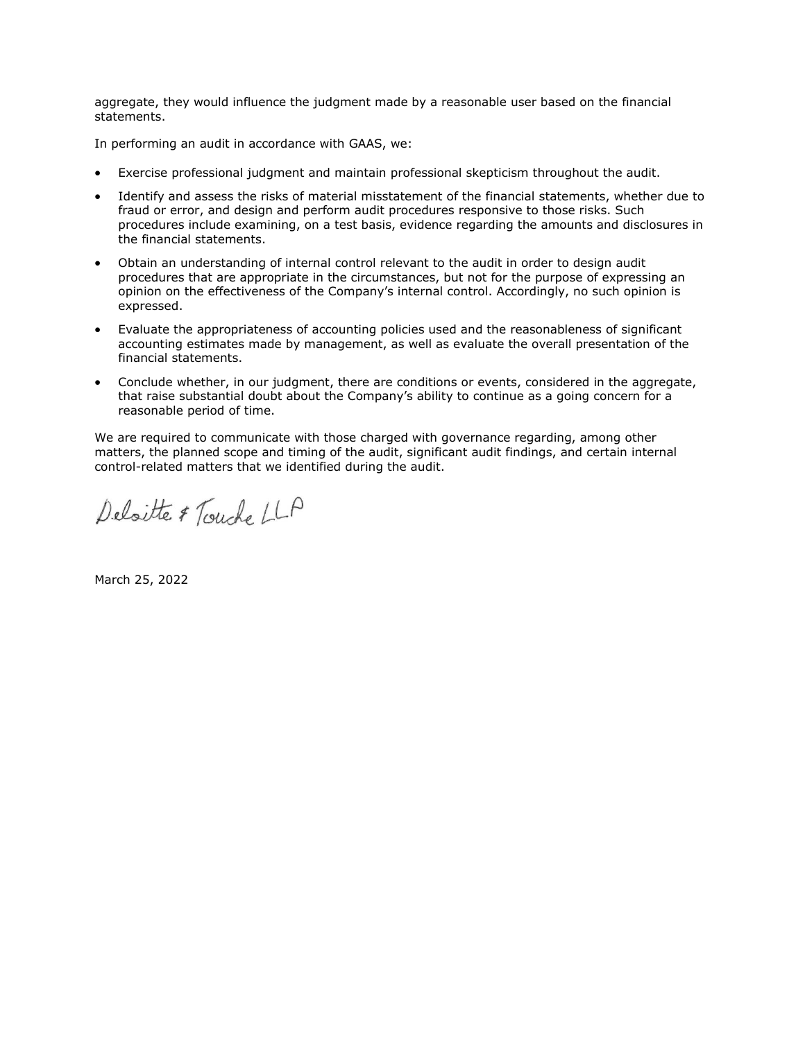aggregate, they would influence the judgment made by a reasonable user based on the financial statements.

In performing an audit in accordance with GAAS, we:

- Exercise professional judgment and maintain professional skepticism throughout the audit.
- Identify and assess the risks of material misstatement of the financial statements, whether due to fraud or error, and design and perform audit procedures responsive to those risks. Such procedures include examining, on a test basis, evidence regarding the amounts and disclosures in the financial statements.
- Obtain an understanding of internal control relevant to the audit in order to design audit procedures that are appropriate in the circumstances, but not for the purpose of expressing an opinion on the effectiveness of the Company's internal control. Accordingly, no such opinion is expressed.
- Evaluate the appropriateness of accounting policies used and the reasonableness of significant accounting estimates made by management, as well as evaluate the overall presentation of the financial statements.
- Conclude whether, in our judgment, there are conditions or events, considered in the aggregate, that raise substantial doubt about the Company's ability to continue as a going concern for a reasonable period of time.

We are required to communicate with those charged with governance regarding, among other matters, the planned scope and timing of the audit, significant audit findings, and certain internal control-related matters that we identified during the audit.

Deloitte & Touche LLP

March 25, 2022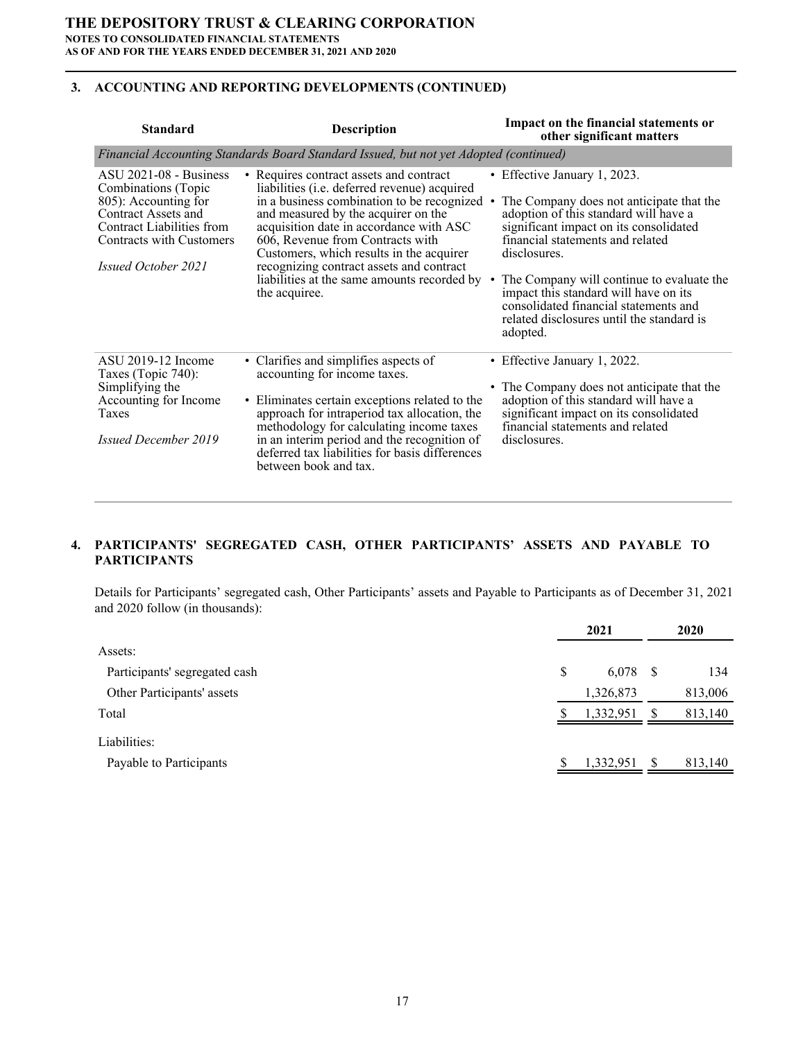# **3. ACCOUNTING AND REPORTING DEVELOPMENTS (CONTINUED)**

| <b>Standard</b>                                                                                                                                                                              | <b>Description</b>                                                                                                                                                                                                                                                                                                                                                                                                            | Impact on the financial statements or<br>other significant matters                                                                                                                                                                                                                                                                                                                                      |
|----------------------------------------------------------------------------------------------------------------------------------------------------------------------------------------------|-------------------------------------------------------------------------------------------------------------------------------------------------------------------------------------------------------------------------------------------------------------------------------------------------------------------------------------------------------------------------------------------------------------------------------|---------------------------------------------------------------------------------------------------------------------------------------------------------------------------------------------------------------------------------------------------------------------------------------------------------------------------------------------------------------------------------------------------------|
|                                                                                                                                                                                              | Financial Accounting Standards Board Standard Issued, but not yet Adopted (continued)                                                                                                                                                                                                                                                                                                                                         |                                                                                                                                                                                                                                                                                                                                                                                                         |
| $ASU 2021-08 - Business$<br>Combinations (Topic<br>805): Accounting for<br><b>Contract Assets and</b><br>Contract Liabilities from<br>Contracts with Customers<br><i>Issued October 2021</i> | • Requires contract assets and contract<br>liabilities ( <i>i.e.</i> deferred revenue) acquired<br>in a business combination to be recognized •<br>and measured by the acquirer on the<br>acquisition date in accordance with ASC<br>606, Revenue from Contracts with<br>Customers, which results in the acquirer<br>recognizing contract assets and contract<br>liabilities at the same amounts recorded by<br>the acquiree. | • Effective January 1, 2023.<br>The Company does not anticipate that the<br>adoption of this standard will have a<br>significant impact on its consolidated<br>financial statements and related<br>disclosures.<br>The Company will continue to evaluate the<br>impact this standard will have on its<br>consolidated financial statements and<br>related disclosures until the standard is<br>adopted. |
| ASU 2019-12 Income<br>Taxes (Topic 740):<br>Simplifying the<br>Accounting for Income<br>Taxes<br><b>Issued December 2019</b>                                                                 | • Clarifies and simplifies aspects of<br>accounting for income taxes.<br>• Eliminates certain exceptions related to the<br>approach for intraperiod tax allocation, the<br>methodology for calculating income taxes<br>in an interim period and the recognition of<br>deferred tax liabilities for basis differences<br>between book and tax.                                                                                 | • Effective January 1, 2022.<br>• The Company does not anticipate that the<br>adoption of this standard will have a<br>significant impact on its consolidated<br>financial statements and related<br>disclosures.                                                                                                                                                                                       |

# **4. PARTICIPANTS' SEGREGATED CASH, OTHER PARTICIPANTS' ASSETS AND PAYABLE TO PARTICIPANTS**

Details for Participants' segregated cash, Other Participants' assets and Payable to Participants as of December 31, 2021 and 2020 follow (in thousands):

|                               |   | 2021      |          | 2020    |
|-------------------------------|---|-----------|----------|---------|
| Assets:                       |   |           |          |         |
| Participants' segregated cash | S | 6,078     | S        | 134     |
| Other Participants' assets    |   | 1,326,873 |          | 813,006 |
| Total                         |   | 1,332,951 | S        | 813,140 |
| Liabilities:                  |   |           |          |         |
| Payable to Participants       |   | 1,332,951 | <b>S</b> | 813,140 |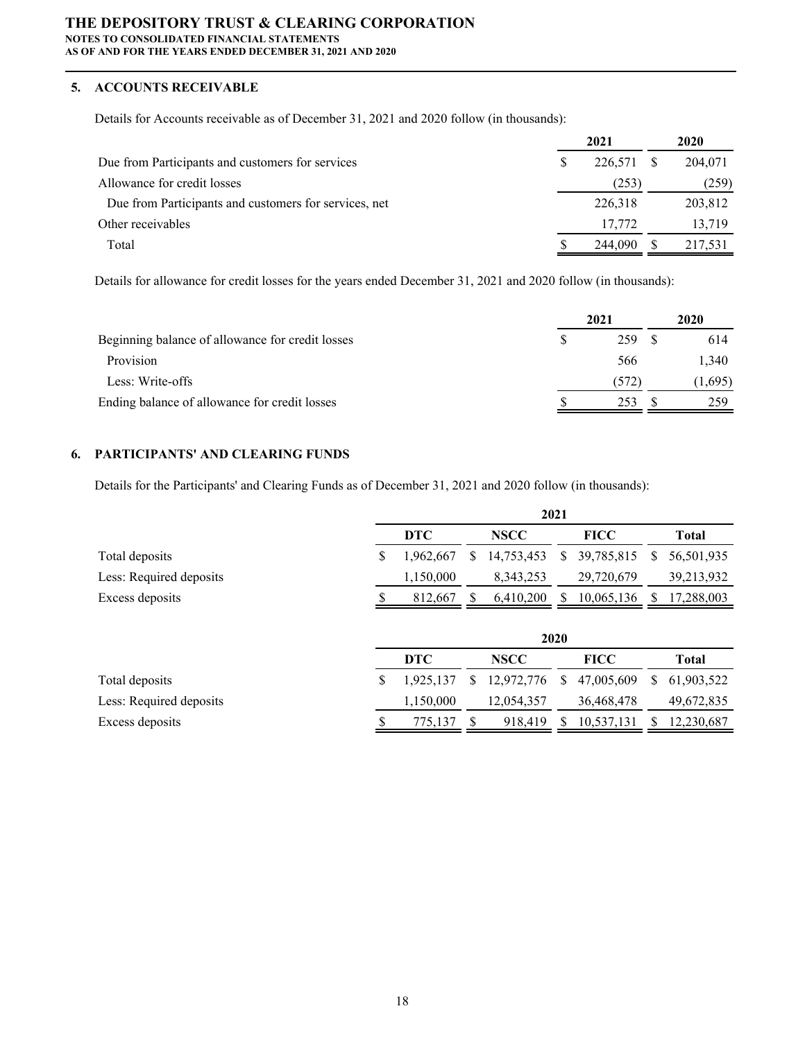# **5. ACCOUNTS RECEIVABLE**

Details for Accounts receivable as of December 31, 2021 and 2020 follow (in thousands):

|                                                       |  | 2021    | 2020    |
|-------------------------------------------------------|--|---------|---------|
| Due from Participants and customers for services      |  | 226,571 | 204,071 |
| Allowance for credit losses                           |  | (253)   | (259)   |
| Due from Participants and customers for services, net |  | 226,318 | 203,812 |
| Other receivables                                     |  | 17.772  | 13,719  |
| Total                                                 |  | 244.090 | 217,531 |

Details for allowance for credit losses for the years ended December 31, 2021 and 2020 follow (in thousands):

|                                                  | 2021  |  |         |  |
|--------------------------------------------------|-------|--|---------|--|
| Beginning balance of allowance for credit losses | 259   |  | 614     |  |
| Provision                                        | 566   |  | 1.340   |  |
| Less: Write-offs                                 | (572) |  | (1,695) |  |
| Ending balance of allowance for credit losses    | 253   |  | 259     |  |

#### **6. PARTICIPANTS' AND CLEARING FUNDS**

Details for the Participants' and Clearing Funds as of December 31, 2021 and 2020 follow (in thousands):

|                         |   | 2021       |    |             |      |             |    |              |  |
|-------------------------|---|------------|----|-------------|------|-------------|----|--------------|--|
|                         |   | <b>DTC</b> |    | <b>NSCC</b> |      | <b>FICC</b> |    | <b>Total</b> |  |
| Total deposits          | S | 1,962,667  | S  | 14,753,453  | S    | 39,785,815  | S  | 56,501,935   |  |
| Less: Required deposits |   | 1,150,000  |    | 8,343,253   |      | 29,720,679  |    | 39,213,932   |  |
| Excess deposits         |   | 812,667    |    | 6,410,200   | ъ.   | 10,065,136  | S  | 17,288,003   |  |
|                         |   |            |    |             | 2020 |             |    |              |  |
|                         |   | <b>DTC</b> |    | <b>NSCC</b> |      | <b>FICC</b> |    | <b>Total</b> |  |
| Total deposits          | S | 1,925,137  | S  | 12,972,776  | S    | 47,005,609  | S  | 61,903,522   |  |
| Less: Required deposits |   | 1,150,000  |    | 12,054,357  |      | 36,468,478  |    | 49,672,835   |  |
| Excess deposits         |   | 775,137    | \$ | 918,419     | S    | 10,537,131  | \$ | 12,230,687   |  |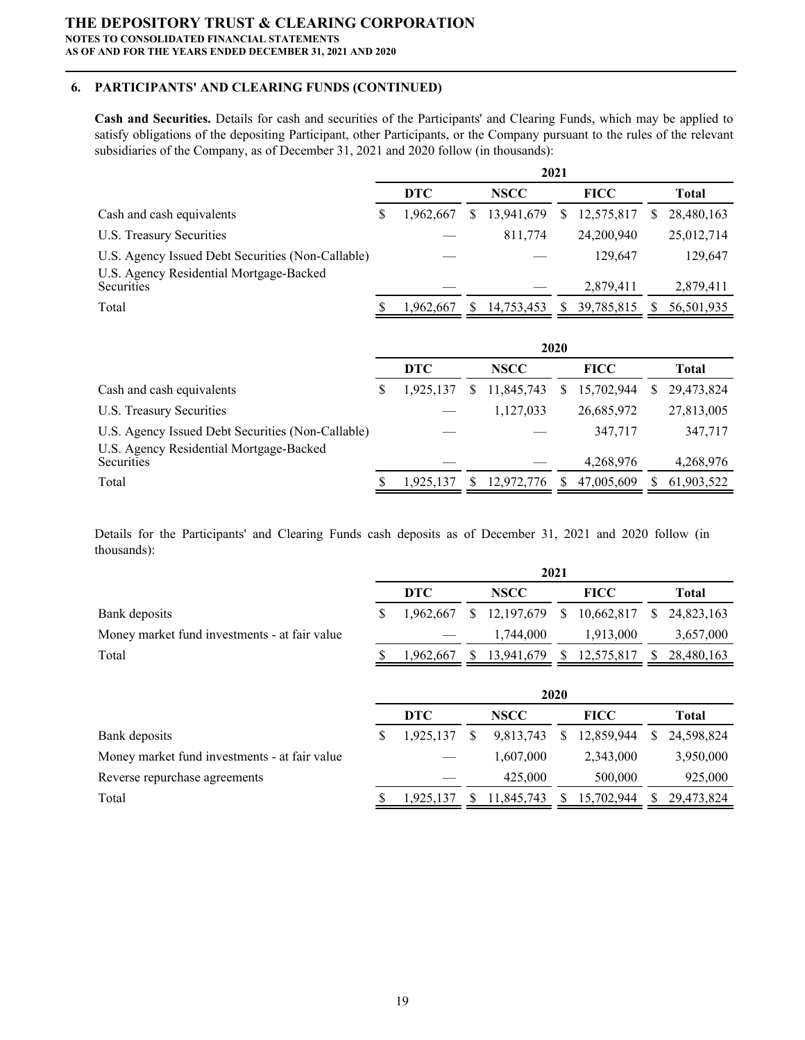### **6. PARTICIPANTS' AND CLEARING FUNDS (CONTINUED)**

**Cash and Securities.** Details for cash and securities of the Participants' and Clearing Funds, which may be applied to satisfy obligations of the depositing Participant, other Participants, or the Company pursuant to the rules of the relevant subsidiaries of the Company, as of December 31, 2021 and 2020 follow (in thousands):

|                                                       |   | 2021       |    |             |  |             |    |            |
|-------------------------------------------------------|---|------------|----|-------------|--|-------------|----|------------|
|                                                       |   | <b>DTC</b> |    | <b>NSCC</b> |  | <b>FICC</b> |    | Total      |
| Cash and cash equivalents                             | S | 1,962,667  | S. | 13,941,679  |  | 12,575,817  | S  | 28,480,163 |
| U.S. Treasury Securities                              |   |            |    | 811,774     |  | 24,200,940  |    | 25,012,714 |
| U.S. Agency Issued Debt Securities (Non-Callable)     |   |            |    |             |  | 129.647     |    | 129,647    |
| U.S. Agency Residential Mortgage-Backed<br>Securities |   |            |    |             |  | 2,879,411   |    | 2,879,411  |
| Total                                                 |   | 1.962.667  |    | 14,753,453  |  | 39,785,815  | -S | 56,501,935 |
|                                                       |   |            |    |             |  |             |    |            |

|                                                       | 2020 |            |  |             |  |             |    |              |
|-------------------------------------------------------|------|------------|--|-------------|--|-------------|----|--------------|
|                                                       |      | <b>DTC</b> |  | <b>NSCC</b> |  | <b>FICC</b> |    | <b>Total</b> |
| Cash and cash equivalents                             | S    | 1,925,137  |  | 11,845,743  |  | 15,702,944  | S. | 29,473,824   |
| U.S. Treasury Securities                              |      |            |  | 1,127,033   |  | 26,685,972  |    | 27,813,005   |
| U.S. Agency Issued Debt Securities (Non-Callable)     |      |            |  |             |  | 347,717     |    | 347,717      |
| U.S. Agency Residential Mortgage-Backed<br>Securities |      |            |  |             |  | 4,268,976   |    | 4,268,976    |
| Total                                                 |      | 1.925.137  |  | 12,972,776  |  | 47,005,609  |    | 61,903,522   |

Details for the Participants' and Clearing Funds cash deposits as of December 31, 2021 and 2020 follow (in thousands):

|                                               | 2021 |  |             |  |                                                        |  |           |  |
|-----------------------------------------------|------|--|-------------|--|--------------------------------------------------------|--|-----------|--|
|                                               | DTC  |  | <b>NSCC</b> |  | <b>FICC</b>                                            |  | Total     |  |
| Bank deposits                                 |      |  |             |  | $$1,962,667$ $$12,197,679$ $$10,662,817$ $$24,823,163$ |  |           |  |
| Money market fund investments - at fair value |      |  | 1,744,000   |  | 1,913,000                                              |  | 3,657,000 |  |
| Total                                         |      |  |             |  | 1,962,667 \$ 13,941,679 \$ 12,575,817 \$ 28,480,163    |  |           |  |
|                                               |      |  |             |  |                                                        |  |           |  |

|                                               | 2020 |                           |    |            |  |              |               |            |
|-----------------------------------------------|------|---------------------------|----|------------|--|--------------|---------------|------------|
|                                               |      | <b>DTC</b><br><b>NSCC</b> |    |            |  | <b>FICC</b>  |               | Total      |
| Bank deposits                                 |      | 1.925.137                 | S. | 9,813,743  |  | \$12,859,944 | <sup>\$</sup> | 24.598.824 |
| Money market fund investments - at fair value |      |                           |    | 1,607,000  |  | 2,343,000    |               | 3,950,000  |
| Reverse repurchase agreements                 |      |                           |    | 425,000    |  | 500,000      |               | 925,000    |
| Total                                         |      | 1,925,137                 |    | 11,845,743 |  | 15,702,944   |               | 29,473,824 |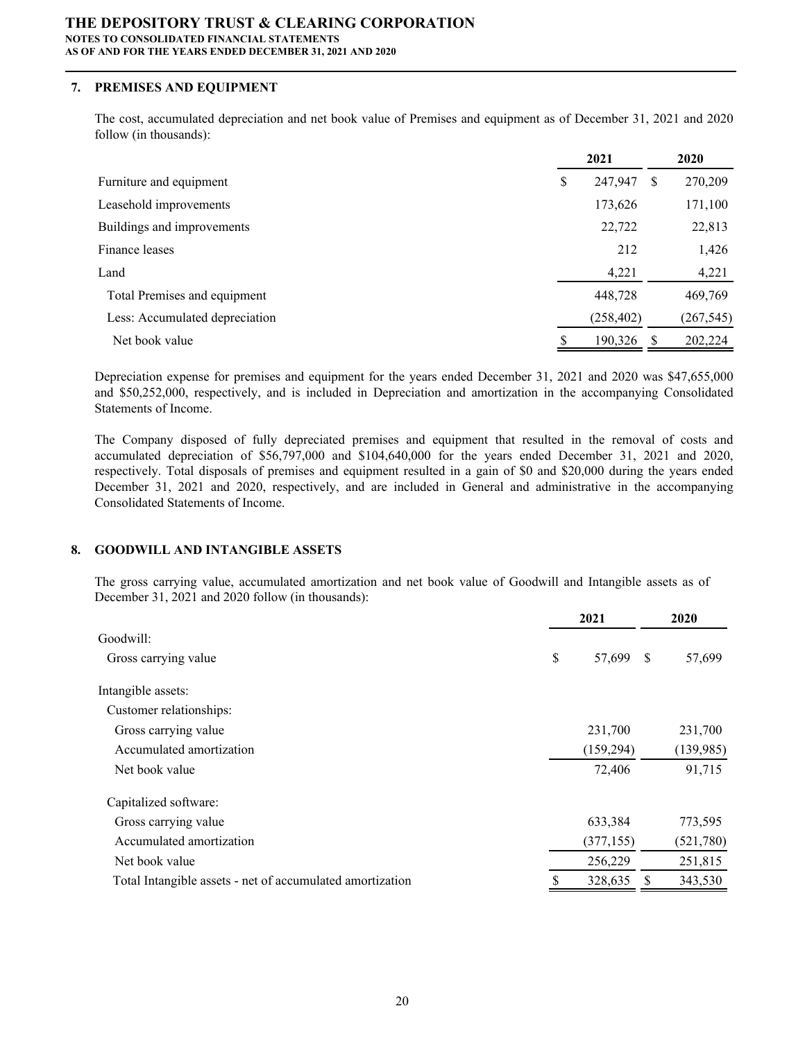# **7. PREMISES AND EQUIPMENT**

The cost, accumulated depreciation and net book value of Premises and equipment as of December 31, 2021 and 2020 follow (in thousands):

|                                |   | 2021       |   | 2020       |
|--------------------------------|---|------------|---|------------|
| Furniture and equipment        | S | 247,947    | S | 270,209    |
| Leasehold improvements         |   | 173,626    |   | 171,100    |
| Buildings and improvements     |   | 22,722     |   | 22,813     |
| Finance leases                 |   | 212        |   | 1,426      |
| Land                           |   | 4,221      |   | 4,221      |
| Total Premises and equipment   |   | 448,728    |   | 469,769    |
| Less: Accumulated depreciation |   | (258, 402) |   | (267, 545) |
| Net book value                 |   | 190,326    |   | 202,224    |

Depreciation expense for premises and equipment for the years ended December 31, 2021 and 2020 was \$47,655,000 and \$50,252,000, respectively, and is included in Depreciation and amortization in the accompanying Consolidated Statements of Income.

The Company disposed of fully depreciated premises and equipment that resulted in the removal of costs and accumulated depreciation of \$56,797,000 and \$104,640,000 for the years ended December 31, 2021 and 2020, respectively. Total disposals of premises and equipment resulted in a gain of \$0 and \$20,000 during the years ended December 31, 2021 and 2020, respectively, and are included in General and administrative in the accompanying Consolidated Statements of Income.

#### **8. GOODWILL AND INTANGIBLE ASSETS**

The gross carrying value, accumulated amortization and net book value of Goodwill and Intangible assets as of December 31, 2021 and 2020 follow (in thousands):

|                                                           | 2021         | 2020         |
|-----------------------------------------------------------|--------------|--------------|
| Goodwill:                                                 |              |              |
| Gross carrying value                                      | \$<br>57,699 | \$<br>57,699 |
| Intangible assets:                                        |              |              |
| Customer relationships:                                   |              |              |
| Gross carrying value                                      | 231,700      | 231,700      |
| Accumulated amortization                                  | (159, 294)   | (139, 985)   |
| Net book value                                            | 72,406       | 91,715       |
| Capitalized software:                                     |              |              |
| Gross carrying value                                      | 633,384      | 773,595      |
| Accumulated amortization                                  | (377, 155)   | (521, 780)   |
| Net book value                                            | 256,229      | 251,815      |
| Total Intangible assets - net of accumulated amortization | 328,635      | 343,530      |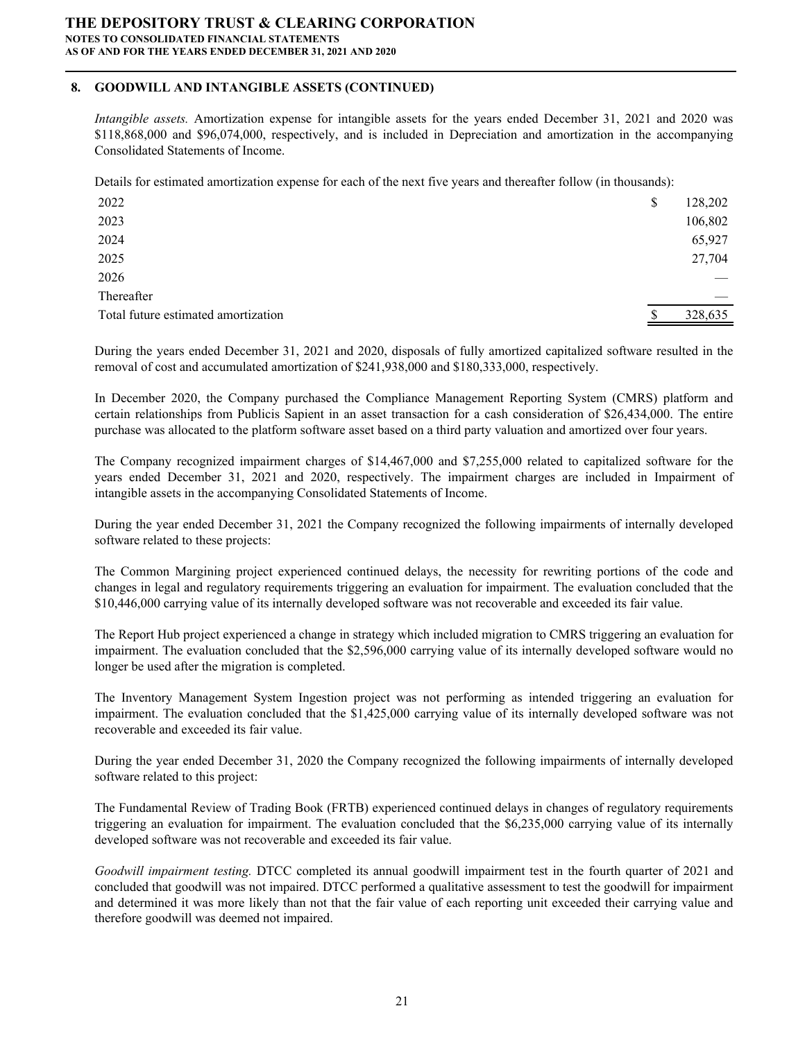#### **THE DEPOSITORY TRUST & CLEARING CORPORATION NOTES TO CONSOLIDATED FINANCIAL STATEMENTS AS OF AND FOR THE YEARS ENDED DECEMBER 31, 2021 AND 2020**

### **8. GOODWILL AND INTANGIBLE ASSETS (CONTINUED)**

*Intangible assets.* Amortization expense for intangible assets for the years ended December 31, 2021 and 2020 was \$118,868,000 and \$96,074,000, respectively, and is included in Depreciation and amortization in the accompanying Consolidated Statements of Income.

Details for estimated amortization expense for each of the next five years and thereafter follow (in thousands):

| 2022                                | \$<br>128,202 |
|-------------------------------------|---------------|
| 2023                                | 106,802       |
| 2024                                | 65,927        |
| 2025                                | 27,704        |
| 2026                                |               |
| Thereafter                          |               |
| Total future estimated amortization | 328,635       |

During the years ended December 31, 2021 and 2020, disposals of fully amortized capitalized software resulted in the removal of cost and accumulated amortization of \$241,938,000 and \$180,333,000, respectively.

In December 2020, the Company purchased the Compliance Management Reporting System (CMRS) platform and certain relationships from Publicis Sapient in an asset transaction for a cash consideration of \$26,434,000. The entire purchase was allocated to the platform software asset based on a third party valuation and amortized over four years.

The Company recognized impairment charges of \$14,467,000 and \$7,255,000 related to capitalized software for the years ended December 31, 2021 and 2020, respectively. The impairment charges are included in Impairment of intangible assets in the accompanying Consolidated Statements of Income.

During the year ended December 31, 2021 the Company recognized the following impairments of internally developed software related to these projects:

The Common Margining project experienced continued delays, the necessity for rewriting portions of the code and changes in legal and regulatory requirements triggering an evaluation for impairment. The evaluation concluded that the \$10,446,000 carrying value of its internally developed software was not recoverable and exceeded its fair value.

The Report Hub project experienced a change in strategy which included migration to CMRS triggering an evaluation for impairment. The evaluation concluded that the \$2,596,000 carrying value of its internally developed software would no longer be used after the migration is completed.

The Inventory Management System Ingestion project was not performing as intended triggering an evaluation for impairment. The evaluation concluded that the \$1,425,000 carrying value of its internally developed software was not recoverable and exceeded its fair value.

During the year ended December 31, 2020 the Company recognized the following impairments of internally developed software related to this project:

The Fundamental Review of Trading Book (FRTB) experienced continued delays in changes of regulatory requirements triggering an evaluation for impairment. The evaluation concluded that the \$6,235,000 carrying value of its internally developed software was not recoverable and exceeded its fair value.

*Goodwill impairment testing.* DTCC completed its annual goodwill impairment test in the fourth quarter of 2021 and concluded that goodwill was not impaired. DTCC performed a qualitative assessment to test the goodwill for impairment and determined it was more likely than not that the fair value of each reporting unit exceeded their carrying value and therefore goodwill was deemed not impaired.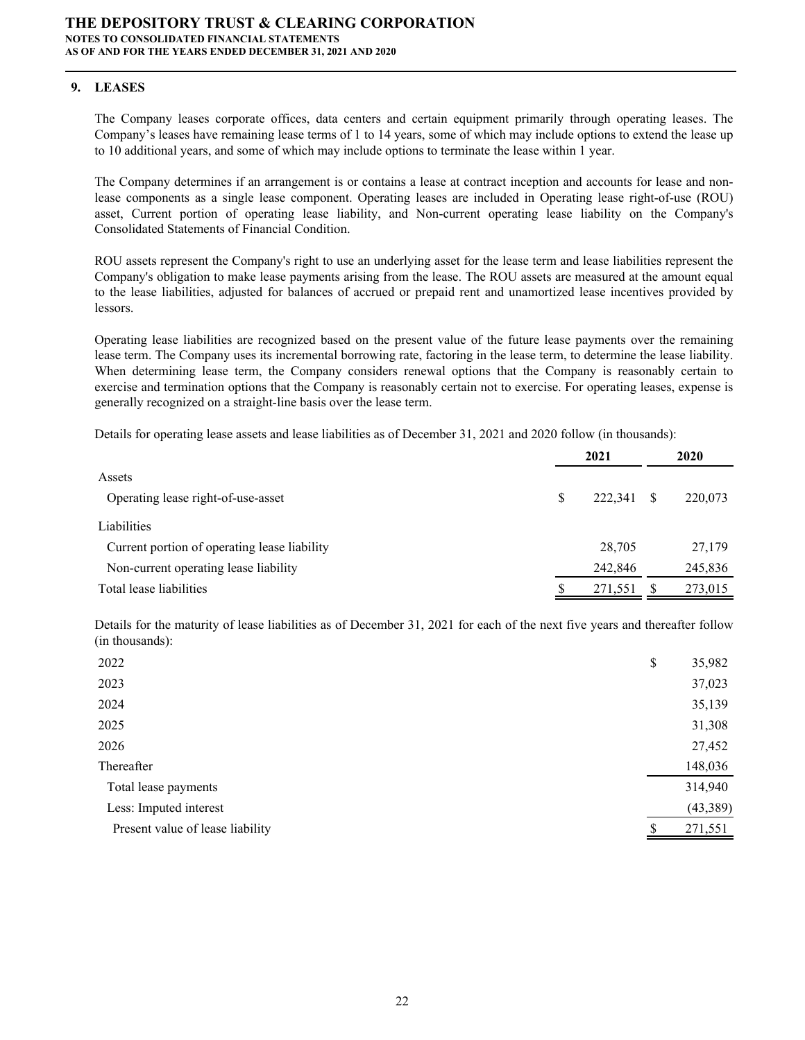### **9. LEASES**

The Company leases corporate offices, data centers and certain equipment primarily through operating leases. The Company's leases have remaining lease terms of 1 to 14 years, some of which may include options to extend the lease up to 10 additional years, and some of which may include options to terminate the lease within 1 year.

The Company determines if an arrangement is or contains a lease at contract inception and accounts for lease and nonlease components as a single lease component. Operating leases are included in Operating lease right-of-use (ROU) asset, Current portion of operating lease liability, and Non-current operating lease liability on the Company's Consolidated Statements of Financial Condition.

ROU assets represent the Company's right to use an underlying asset for the lease term and lease liabilities represent the Company's obligation to make lease payments arising from the lease. The ROU assets are measured at the amount equal to the lease liabilities, adjusted for balances of accrued or prepaid rent and unamortized lease incentives provided by lessors.

Operating lease liabilities are recognized based on the present value of the future lease payments over the remaining lease term. The Company uses its incremental borrowing rate, factoring in the lease term, to determine the lease liability. When determining lease term, the Company considers renewal options that the Company is reasonably certain to exercise and termination options that the Company is reasonably certain not to exercise. For operating leases, expense is generally recognized on a straight-line basis over the lease term.

Details for operating lease assets and lease liabilities as of December 31, 2021 and 2020 follow (in thousands):

|                                              |   | 2021    |     | 2020    |
|----------------------------------------------|---|---------|-----|---------|
| Assets                                       |   |         |     |         |
| Operating lease right-of-use-asset           | S | 222,341 | \$. | 220,073 |
| Liabilities                                  |   |         |     |         |
| Current portion of operating lease liability |   | 28.705  |     | 27,179  |
| Non-current operating lease liability        |   | 242,846 |     | 245,836 |
| Total lease liabilities                      |   | 271,551 | S   | 273,015 |

Details for the maturity of lease liabilities as of December 31, 2021 for each of the next five years and thereafter follow (in thousands):

| 2022                             | \$<br>35,982 |
|----------------------------------|--------------|
| 2023                             | 37,023       |
| 2024                             | 35,139       |
| 2025                             | 31,308       |
| 2026                             | 27,452       |
| Thereafter                       | 148,036      |
| Total lease payments             | 314,940      |
| Less: Imputed interest           | (43, 389)    |
| Present value of lease liability | 271,551      |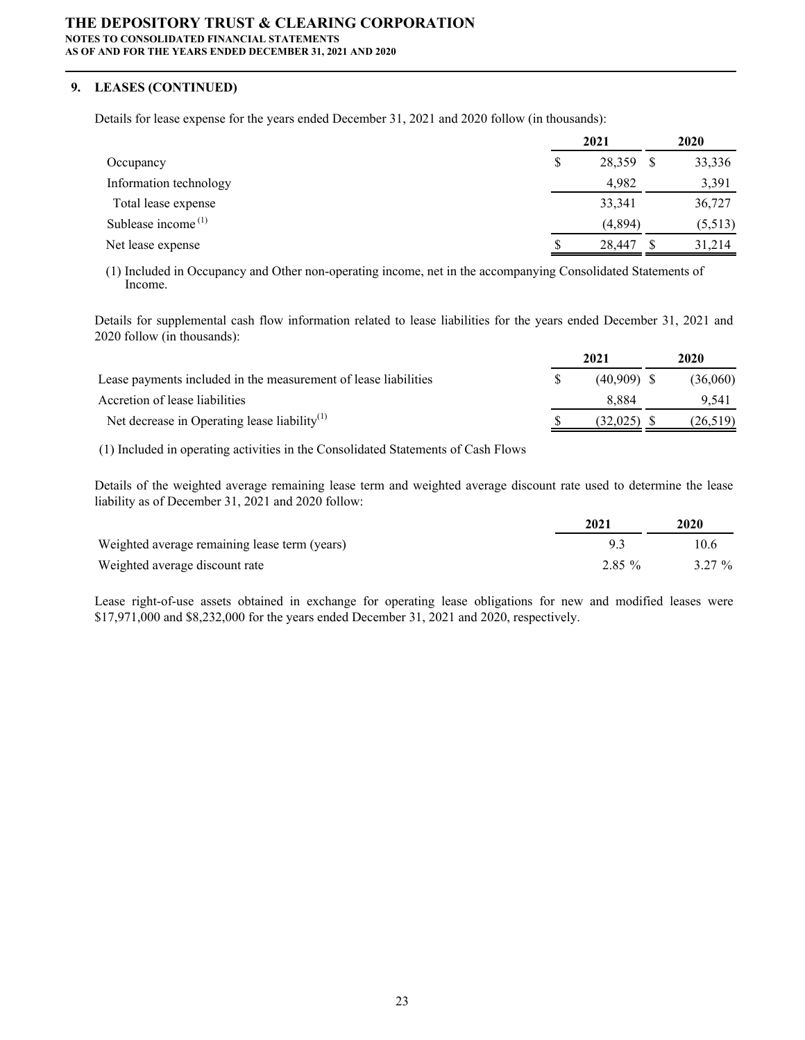#### **THE DEPOSITORY TRUST & CLEARING CORPORATION NOTES TO CONSOLIDATED FINANCIAL STATEMENTS AS OF AND FOR THE YEARS ENDED DECEMBER 31, 2021 AND 2020**

# **9. LEASES (CONTINUED)**

Details for lease expense for the years ended December 31, 2021 and 2020 follow (in thousands):

|                                             |    | 2021    | 2020 |         |
|---------------------------------------------|----|---------|------|---------|
| Occupancy                                   | \$ | 28,359  |      | 33,336  |
| Information technology                      |    | 4,982   |      | 3,391   |
| Total lease expense                         |    | 33,341  |      | 36,727  |
| Sublease income <sup><math>(1)</math></sup> |    | (4,894) |      | (5,513) |
| Net lease expense                           | S  | 28,447  |      | 31,214  |

(1) Included in Occupancy and Other non-operating income, net in the accompanying Consolidated Statements of Income.

Details for supplemental cash flow information related to lease liabilities for the years ended December 31, 2021 and 2020 follow (in thousands):

|                                                                 | 2021          | 2020      |
|-----------------------------------------------------------------|---------------|-----------|
| Lease payments included in the measurement of lease liabilities | $(40.909)$ \$ | (36,060)  |
| Accretion of lease liabilities                                  | 8.884         | 9.541     |
| Net decrease in Operating lease liability <sup>(1)</sup>        | $(32,025)$ \$ | (26, 519) |

(1) Included in operating activities in the Consolidated Statements of Cash Flows

Details of the weighted average remaining lease term and weighted average discount rate used to determine the lease liability as of December 31, 2021 and 2020 follow:

|                                               | 2021   | 2020      |
|-----------------------------------------------|--------|-----------|
| Weighted average remaining lease term (years) |        | 10.6      |
| Weighted average discount rate                | 2.85 % | $3.27 \%$ |

Lease right-of-use assets obtained in exchange for operating lease obligations for new and modified leases were \$17,971,000 and \$8,232,000 for the years ended December 31, 2021 and 2020, respectively.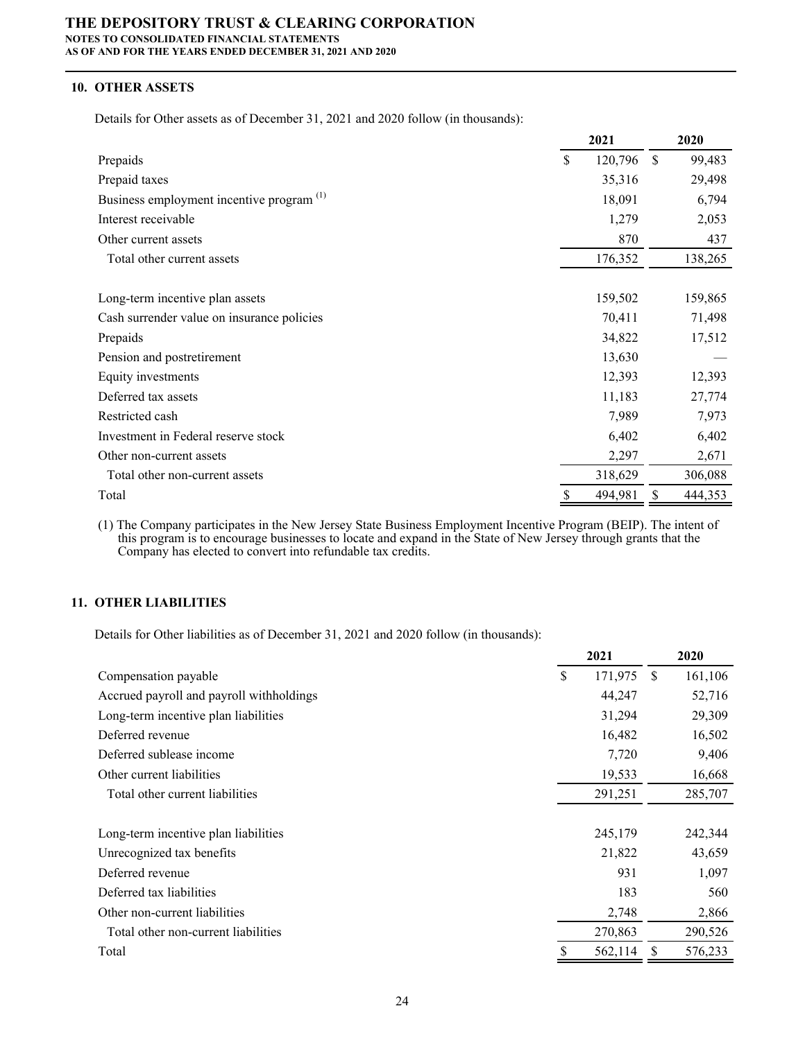# **10. OTHER ASSETS**

Details for Other assets as of December 31, 2021 and 2020 follow (in thousands):

|                                                      | 2021          |               | 2020    |
|------------------------------------------------------|---------------|---------------|---------|
| Prepaids                                             | \$<br>120,796 | <sup>\$</sup> | 99,483  |
| Prepaid taxes                                        | 35,316        |               | 29,498  |
| Business employment incentive program <sup>(1)</sup> | 18,091        |               | 6,794   |
| Interest receivable                                  | 1,279         |               | 2,053   |
| Other current assets                                 | 870           |               | 437     |
| Total other current assets                           | 176,352       |               | 138,265 |
|                                                      |               |               |         |
| Long-term incentive plan assets                      | 159,502       |               | 159,865 |
| Cash surrender value on insurance policies           | 70,411        |               | 71,498  |
| Prepaids                                             | 34,822        |               | 17,512  |
| Pension and postretirement                           | 13,630        |               |         |
| Equity investments                                   | 12,393        |               | 12,393  |
| Deferred tax assets                                  | 11,183        |               | 27,774  |
| Restricted cash                                      | 7,989         |               | 7,973   |
| Investment in Federal reserve stock                  | 6,402         |               | 6,402   |
| Other non-current assets                             | 2,297         |               | 2,671   |
| Total other non-current assets                       | 318,629       |               | 306,088 |
| Total                                                | 494,981       | \$            | 444,353 |

(1) The Company participates in the New Jersey State Business Employment Incentive Program (BEIP). The intent of this program is to encourage businesses to locate and expand in the State of New Jersey through grants that the Company has elected to convert into refundable tax credits.

### **11. OTHER LIABILITIES**

Details for Other liabilities as of December 31, 2021 and 2020 follow (in thousands):

|                                          | 2021          |               | 2020    |
|------------------------------------------|---------------|---------------|---------|
| Compensation payable                     | \$<br>171,975 | <sup>\$</sup> | 161,106 |
| Accrued payroll and payroll withholdings | 44,247        |               | 52,716  |
| Long-term incentive plan liabilities     | 31,294        |               | 29,309  |
| Deferred revenue                         | 16,482        |               | 16,502  |
| Deferred sublease income                 | 7,720         |               | 9,406   |
| Other current liabilities                | 19,533        |               | 16,668  |
| Total other current liabilities          | 291,251       |               | 285,707 |
| Long-term incentive plan liabilities     | 245,179       |               | 242,344 |
| Unrecognized tax benefits                | 21,822        |               | 43,659  |
| Deferred revenue                         | 931           |               | 1,097   |
| Deferred tax liabilities                 | 183           |               | 560     |
| Other non-current liabilities            | 2,748         |               | 2,866   |
| Total other non-current liabilities      | 270,863       |               | 290,526 |
| Total                                    | 562,114       |               | 576,233 |
|                                          |               |               |         |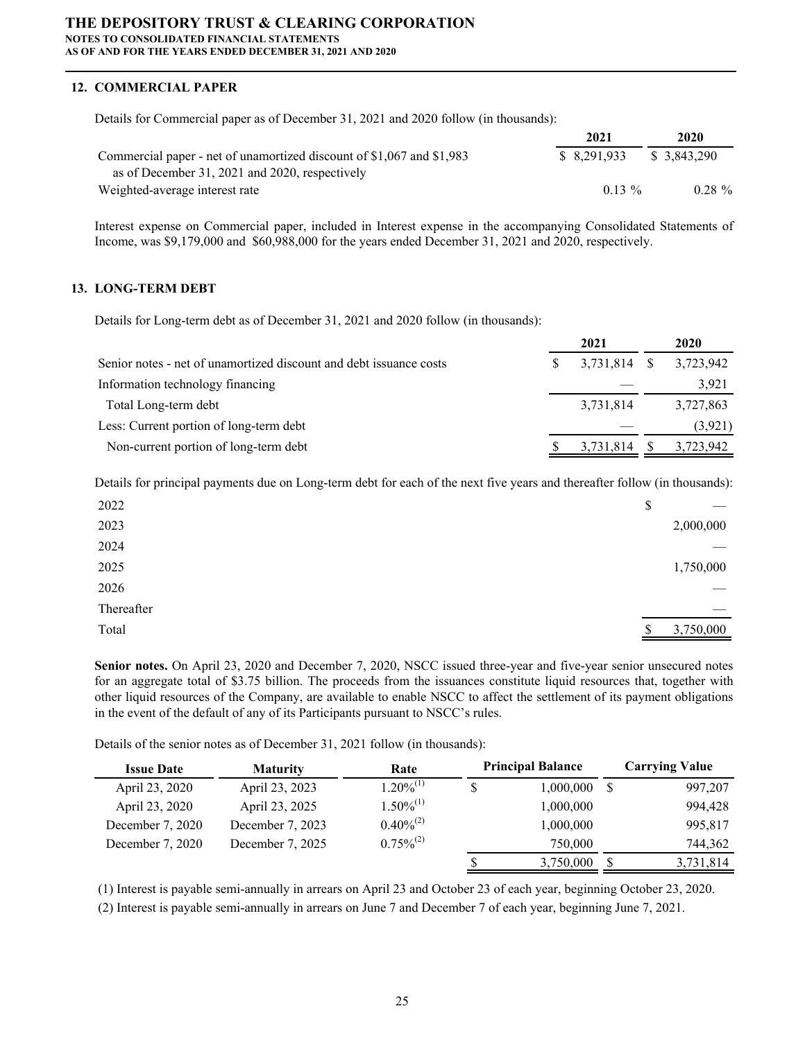# **12. COMMERCIAL PAPER**

Details for Commercial paper as of December 31, 2021 and 2020 follow (in thousands):

|                                                                       | 2021         | 2020         |
|-----------------------------------------------------------------------|--------------|--------------|
| Commercial paper - net of unamortized discount of \$1,067 and \$1,983 | \$ 8.291.933 | \$ 3.843.290 |
| as of December 31, 2021 and 2020, respectively                        |              |              |
| Weighted-average interest rate                                        | $0.13\%$     | $0.28 \%$    |

Interest expense on Commercial paper, included in Interest expense in the accompanying Consolidated Statements of Income, was \$9,179,000 and \$60,988,000 for the years ended December 31, 2021 and 2020, respectively.

#### **13. LONG-TERM DEBT**

Details for Long-term debt as of December 31, 2021 and 2020 follow (in thousands):

|                                                                    | 2021      |      | 2020      |
|--------------------------------------------------------------------|-----------|------|-----------|
| Senior notes - net of unamortized discount and debt issuance costs | 3,731,814 | - \$ | 3,723,942 |
| Information technology financing                                   |           |      | 3,921     |
| Total Long-term debt                                               | 3,731,814 |      | 3,727,863 |
| Less: Current portion of long-term debt                            |           |      | (3,921)   |
| Non-current portion of long-term debt                              | 3,731,814 |      | 3,723,942 |

Details for principal payments due on Long-term debt for each of the next five years and thereafter follow (in thousands):

| 2022       | \$ |           |
|------------|----|-----------|
| 2023       |    | 2,000,000 |
| 2024       |    |           |
| 2025       |    | 1,750,000 |
| 2026       |    |           |
| Thereafter |    |           |
| Total      | S  | 3,750,000 |

**Senior notes.** On April 23, 2020 and December 7, 2020, NSCC issued three-year and five-year senior unsecured notes for an aggregate total of \$3.75 billion. The proceeds from the issuances constitute liquid resources that, together with other liquid resources of the Company, are available to enable NSCC to affect the settlement of its payment obligations in the event of the default of any of its Participants pursuant to NSCC's rules.

Details of the senior notes as of December 31, 2021 follow (in thousands):

| <b>Issue Date</b> | <b>Maturity</b>  | Rate           | <b>Principal Balance</b> |   | <b>Carrying Value</b> |
|-------------------|------------------|----------------|--------------------------|---|-----------------------|
| April 23, 2020    | April 23, 2023   | $1.20\%^{(1)}$ | \$<br>1,000,000          | S | 997,207               |
| April 23, 2020    | April 23, 2025   | $1.50\%^{(1)}$ | 1,000,000                |   | 994,428               |
| December 7, 2020  | December 7, 2023 | $0.40\%^{(2)}$ | 1,000,000                |   | 995,817               |
| December 7, 2020  | December 7, 2025 | $0.75\%^{(2)}$ | 750,000                  |   | 744.362               |
|                   |                  |                | \$<br>3,750,000          |   | 3,731,814             |

(1) Interest is payable semi-annually in arrears on April 23 and October 23 of each year, beginning October 23, 2020.

(2) Interest is payable semi-annually in arrears on June 7 and December 7 of each year, beginning June 7, 2021.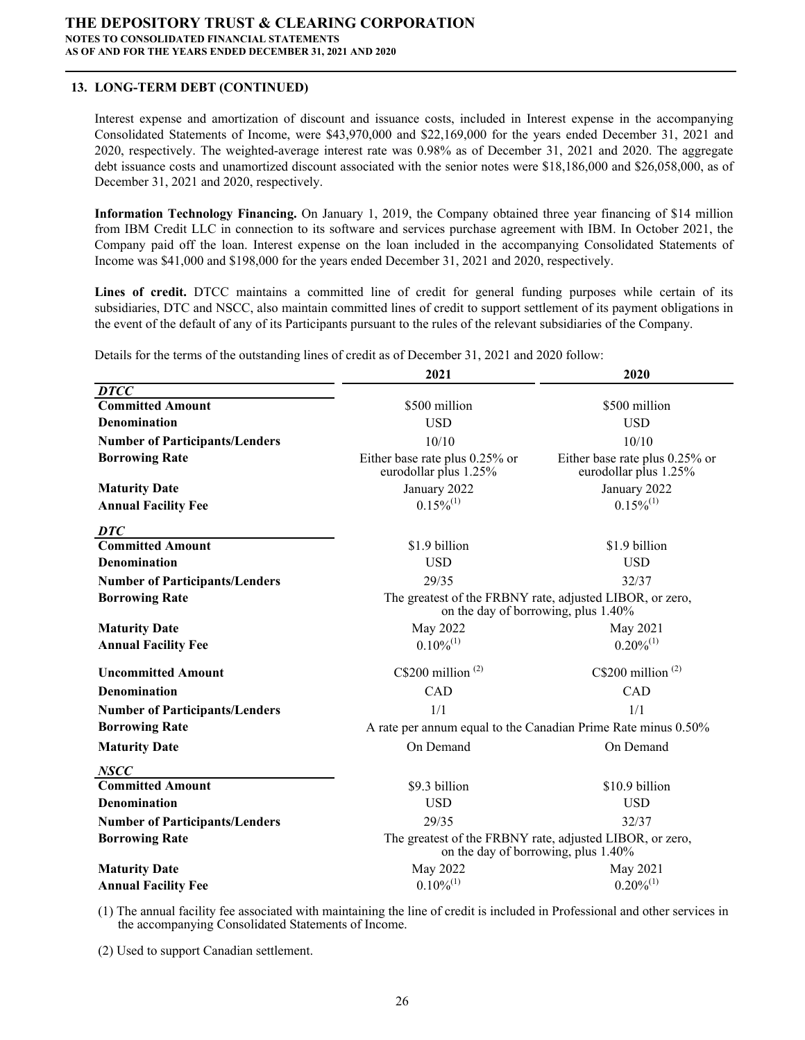### **13. LONG-TERM DEBT (CONTINUED)**

Interest expense and amortization of discount and issuance costs, included in Interest expense in the accompanying Consolidated Statements of Income, were \$43,970,000 and \$22,169,000 for the years ended December 31, 2021 and 2020, respectively. The weighted-average interest rate was 0.98% as of December 31, 2021 and 2020. The aggregate debt issuance costs and unamortized discount associated with the senior notes were \$18,186,000 and \$26,058,000, as of December 31, 2021 and 2020, respectively.

**Information Technology Financing.** On January 1, 2019, the Company obtained three year financing of \$14 million from IBM Credit LLC in connection to its software and services purchase agreement with IBM. In October 2021, the Company paid off the loan. Interest expense on the loan included in the accompanying Consolidated Statements of Income was \$41,000 and \$198,000 for the years ended December 31, 2021 and 2020, respectively.

**Lines of credit.** DTCC maintains a committed line of credit for general funding purposes while certain of its subsidiaries, DTC and NSCC, also maintain committed lines of credit to support settlement of its payment obligations in the event of the default of any of its Participants pursuant to the rules of the relevant subsidiaries of the Company.

Details for the terms of the outstanding lines of credit as of December 31, 2021 and 2020 follow:

|                                       | 2021                                                                                            | 2020                                                                                            |  |  |
|---------------------------------------|-------------------------------------------------------------------------------------------------|-------------------------------------------------------------------------------------------------|--|--|
| <b>DTCC</b>                           |                                                                                                 |                                                                                                 |  |  |
| <b>Committed Amount</b>               | \$500 million                                                                                   | \$500 million                                                                                   |  |  |
| Denomination                          | <b>USD</b>                                                                                      | <b>USD</b>                                                                                      |  |  |
| <b>Number of Participants/Lenders</b> | 10/10                                                                                           | 10/10                                                                                           |  |  |
| <b>Borrowing Rate</b>                 | Either base rate plus $0.25\%$ or<br>eurodollar plus 1.25%                                      | Either base rate plus $0.25\%$ or<br>eurodollar plus 1.25%                                      |  |  |
| <b>Maturity Date</b>                  | January 2022                                                                                    | January 2022                                                                                    |  |  |
| <b>Annual Facility Fee</b>            | $0.15\%^{(1)}$                                                                                  | $0.15\%^{(1)}$                                                                                  |  |  |
| <b>DTC</b>                            |                                                                                                 |                                                                                                 |  |  |
| <b>Committed Amount</b>               | \$1.9 billion                                                                                   | \$1.9 billion                                                                                   |  |  |
| <b>Denomination</b>                   | <b>USD</b>                                                                                      | <b>USD</b>                                                                                      |  |  |
| <b>Number of Participants/Lenders</b> | 29/35                                                                                           | 32/37                                                                                           |  |  |
| <b>Borrowing Rate</b>                 |                                                                                                 | The greatest of the FRBNY rate, adjusted LIBOR, or zero,<br>on the day of borrowing, plus 1.40% |  |  |
| <b>Maturity Date</b>                  | May 2022                                                                                        | May 2021                                                                                        |  |  |
| <b>Annual Facility Fee</b>            | $0.10\%^{(1)}$                                                                                  | $0.20\%^{(1)}$                                                                                  |  |  |
| <b>Uncommitted Amount</b>             | C\$200 million <sup>(2)</sup>                                                                   | C\$200 million $^{(2)}$                                                                         |  |  |
| <b>Denomination</b>                   | CAD                                                                                             | CAD                                                                                             |  |  |
| <b>Number of Participants/Lenders</b> | 1/1                                                                                             | 1/1                                                                                             |  |  |
| <b>Borrowing Rate</b>                 |                                                                                                 | A rate per annum equal to the Canadian Prime Rate minus 0.50%                                   |  |  |
| <b>Maturity Date</b>                  | On Demand                                                                                       | On Demand                                                                                       |  |  |
| <b>NSCC</b>                           |                                                                                                 |                                                                                                 |  |  |
| <b>Committed Amount</b>               | \$9.3 billion                                                                                   | \$10.9 billion                                                                                  |  |  |
| <b>Denomination</b>                   | <b>USD</b>                                                                                      | <b>USD</b>                                                                                      |  |  |
| <b>Number of Participants/Lenders</b> | 29/35                                                                                           | 32/37                                                                                           |  |  |
| <b>Borrowing Rate</b>                 | The greatest of the FRBNY rate, adjusted LIBOR, or zero,<br>on the day of borrowing, plus 1.40% |                                                                                                 |  |  |
| <b>Maturity Date</b>                  | May 2022                                                                                        | May 2021                                                                                        |  |  |
| <b>Annual Facility Fee</b>            | $0.10\%^{(1)}$                                                                                  | $0.20\%^{(1)}$                                                                                  |  |  |

(1) The annual facility fee associated with maintaining the line of credit is included in Professional and other services in the accompanying Consolidated Statements of Income.

(2) Used to support Canadian settlement.